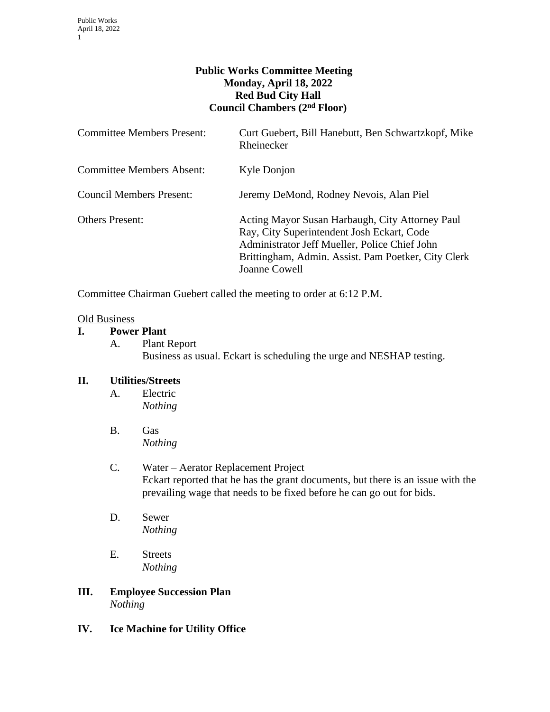## **Public Works Committee Meeting Monday, April 18, 2022 Red Bud City Hall Council Chambers (2nd Floor)**

| <b>Committee Members Present:</b> | Curt Guebert, Bill Hanebutt, Ben Schwartzkopf, Mike<br>Rheinecker                                                                                                                                                      |
|-----------------------------------|------------------------------------------------------------------------------------------------------------------------------------------------------------------------------------------------------------------------|
| <b>Committee Members Absent:</b>  | Kyle Donjon                                                                                                                                                                                                            |
| Council Members Present:          | Jeremy DeMond, Rodney Nevois, Alan Piel                                                                                                                                                                                |
| <b>Others Present:</b>            | Acting Mayor Susan Harbaugh, City Attorney Paul<br>Ray, City Superintendent Josh Eckart, Code<br>Administrator Jeff Mueller, Police Chief John<br>Brittingham, Admin. Assist. Pam Poetker, City Clerk<br>Joanne Cowell |

Committee Chairman Guebert called the meeting to order at 6:12 P.M.

#### Old Business

## **I. Power Plant**

A. Plant Report Business as usual. Eckart is scheduling the urge and NESHAP testing.

#### **II. Utilities/Streets**

- A. Electric *Nothing*
- B. Gas *Nothing*
- C. Water Aerator Replacement Project Eckart reported that he has the grant documents, but there is an issue with the prevailing wage that needs to be fixed before he can go out for bids.
- D. Sewer *Nothing*
- E. Streets *Nothing*
- **III. Employee Succession Plan** *Nothing*
- **IV. Ice Machine for Utility Office**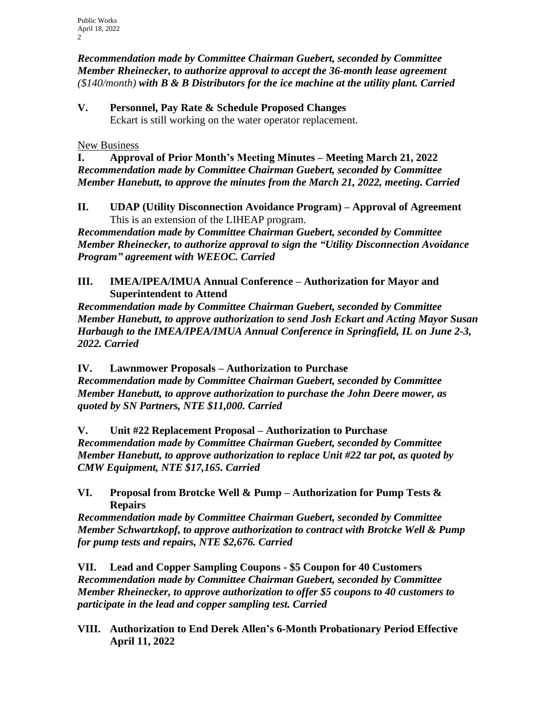*Recommendation made by Committee Chairman Guebert, seconded by Committee Member Rheinecker, to authorize approval to accept the 36-month lease agreement (\$140/month) with B & B Distributors for the ice machine at the utility plant. Carried*

**V. Personnel, Pay Rate & Schedule Proposed Changes** Eckart is still working on the water operator replacement.

New Business

**I. Approval of Prior Month's Meeting Minutes – Meeting March 21, 2022** *Recommendation made by Committee Chairman Guebert, seconded by Committee Member Hanebutt, to approve the minutes from the March 21, 2022, meeting. Carried*

**II. UDAP (Utility Disconnection Avoidance Program) – Approval of Agreement** This is an extension of the LIHEAP program.

*Recommendation made by Committee Chairman Guebert, seconded by Committee Member Rheinecker, to authorize approval to sign the "Utility Disconnection Avoidance Program" agreement with WEEOC. Carried*

**III. IMEA/IPEA/IMUA Annual Conference – Authorization for Mayor and Superintendent to Attend**

*Recommendation made by Committee Chairman Guebert, seconded by Committee Member Hanebutt, to approve authorization to send Josh Eckart and Acting Mayor Susan Harbaugh to the IMEA/IPEA/IMUA Annual Conference in Springfield, IL on June 2-3, 2022. Carried*

**IV. Lawnmower Proposals – Authorization to Purchase** *Recommendation made by Committee Chairman Guebert, seconded by Committee Member Hanebutt, to approve authorization to purchase the John Deere mower, as quoted by SN Partners, NTE \$11,000. Carried*

**V. Unit #22 Replacement Proposal – Authorization to Purchase** *Recommendation made by Committee Chairman Guebert, seconded by Committee Member Hanebutt, to approve authorization to replace Unit #22 tar pot, as quoted by CMW Equipment, NTE \$17,165. Carried*

# **VI. Proposal from Brotcke Well & Pump – Authorization for Pump Tests & Repairs**

*Recommendation made by Committee Chairman Guebert, seconded by Committee Member Schwartzkopf, to approve authorization to contract with Brotcke Well & Pump for pump tests and repairs, NTE \$2,676. Carried*

**VII. Lead and Copper Sampling Coupons - \$5 Coupon for 40 Customers** *Recommendation made by Committee Chairman Guebert, seconded by Committee Member Rheinecker, to approve authorization to offer \$5 coupons to 40 customers to participate in the lead and copper sampling test. Carried*

**VIII. Authorization to End Derek Allen's 6-Month Probationary Period Effective April 11, 2022**